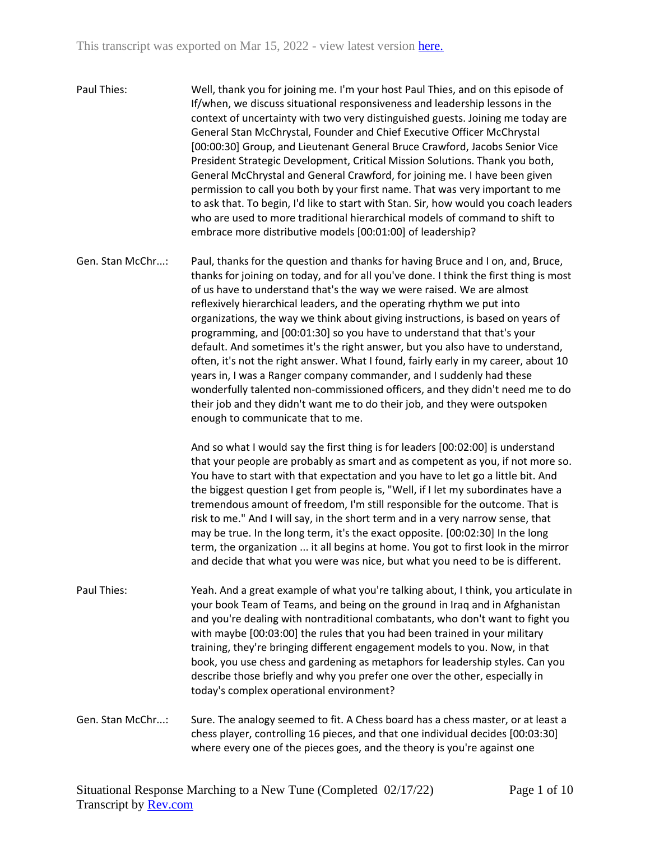- Paul Thies: Well, thank you for joining me. I'm your host Paul Thies, and on this episode of If/when, we discuss situational responsiveness and leadership lessons in the context of uncertainty with two very distinguished guests. Joining me today are General Stan McChrystal, Founder and Chief Executive Officer McChrystal [00:00:30] Group, and Lieutenant General Bruce Crawford, Jacobs Senior Vice President Strategic Development, Critical Mission Solutions. Thank you both, General McChrystal and General Crawford, for joining me. I have been given permission to call you both by your first name. That was very important to me to ask that. To begin, I'd like to start with Stan. Sir, how would you coach leaders who are used to more traditional hierarchical models of command to shift to embrace more distributive models [00:01:00] of leadership?
- Gen. Stan McChr...: Paul, thanks for the question and thanks for having Bruce and I on, and, Bruce, thanks for joining on today, and for all you've done. I think the first thing is most of us have to understand that's the way we were raised. We are almost reflexively hierarchical leaders, and the operating rhythm we put into organizations, the way we think about giving instructions, is based on years of programming, and [00:01:30] so you have to understand that that's your default. And sometimes it's the right answer, but you also have to understand, often, it's not the right answer. What I found, fairly early in my career, about 10 years in, I was a Ranger company commander, and I suddenly had these wonderfully talented non-commissioned officers, and they didn't need me to do their job and they didn't want me to do their job, and they were outspoken enough to communicate that to me.

And so what I would say the first thing is for leaders [00:02:00] is understand that your people are probably as smart and as competent as you, if not more so. You have to start with that expectation and you have to let go a little bit. And the biggest question I get from people is, "Well, if I let my subordinates have a tremendous amount of freedom, I'm still responsible for the outcome. That is risk to me." And I will say, in the short term and in a very narrow sense, that may be true. In the long term, it's the exact opposite. [00:02:30] In the long term, the organization ... it all begins at home. You got to first look in the mirror and decide that what you were was nice, but what you need to be is different.

- Paul Thies: Yeah. And a great example of what you're talking about, I think, you articulate in your book Team of Teams, and being on the ground in Iraq and in Afghanistan and you're dealing with nontraditional combatants, who don't want to fight you with maybe [00:03:00] the rules that you had been trained in your military training, they're bringing different engagement models to you. Now, in that book, you use chess and gardening as metaphors for leadership styles. Can you describe those briefly and why you prefer one over the other, especially in today's complex operational environment?
- Gen. Stan McChr...: Sure. The analogy seemed to fit. A Chess board has a chess master, or at least a chess player, controlling 16 pieces, and that one individual decides [00:03:30] where every one of the pieces goes, and the theory is you're against one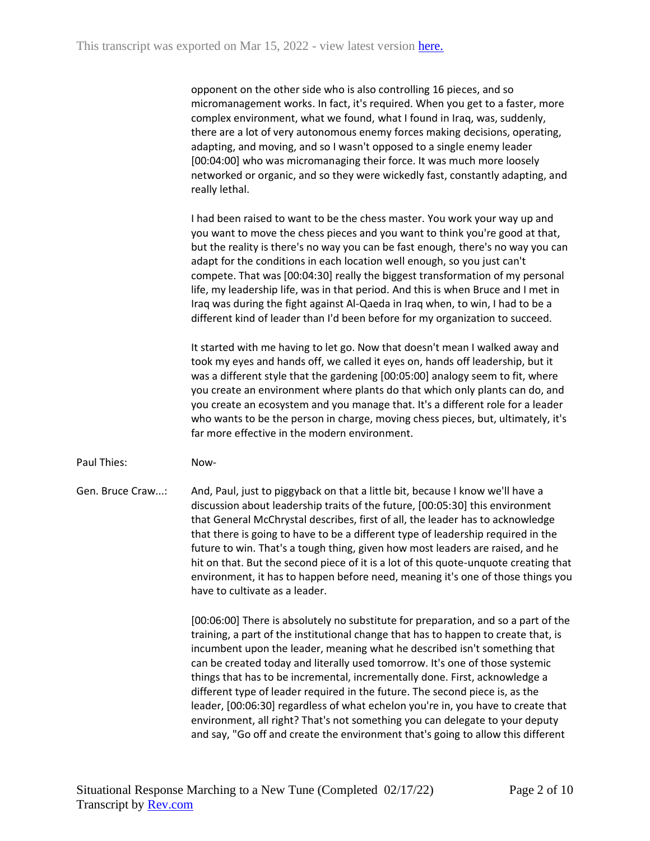opponent on the other side who is also controlling 16 pieces, and so micromanagement works. In fact, it's required. When you get to a faster, more complex environment, what we found, what I found in Iraq, was, suddenly, there are a lot of very autonomous enemy forces making decisions, operating, adapting, and moving, and so I wasn't opposed to a single enemy leader [00:04:00] who was micromanaging their force. It was much more loosely networked or organic, and so they were wickedly fast, constantly adapting, and really lethal.

I had been raised to want to be the chess master. You work your way up and you want to move the chess pieces and you want to think you're good at that, but the reality is there's no way you can be fast enough, there's no way you can adapt for the conditions in each location well enough, so you just can't compete. That was [00:04:30] really the biggest transformation of my personal life, my leadership life, was in that period. And this is when Bruce and I met in Iraq was during the fight against Al-Qaeda in Iraq when, to win, I had to be a different kind of leader than I'd been before for my organization to succeed.

It started with me having to let go. Now that doesn't mean I walked away and took my eyes and hands off, we called it eyes on, hands off leadership, but it was a different style that the gardening [00:05:00] analogy seem to fit, where you create an environment where plants do that which only plants can do, and you create an ecosystem and you manage that. It's a different role for a leader who wants to be the person in charge, moving chess pieces, but, ultimately, it's far more effective in the modern environment.

Paul Thies: Now-

Gen. Bruce Craw...: And, Paul, just to piggyback on that a little bit, because I know we'll have a discussion about leadership traits of the future, [00:05:30] this environment that General McChrystal describes, first of all, the leader has to acknowledge that there is going to have to be a different type of leadership required in the future to win. That's a tough thing, given how most leaders are raised, and he hit on that. But the second piece of it is a lot of this quote-unquote creating that environment, it has to happen before need, meaning it's one of those things you have to cultivate as a leader.

> [00:06:00] There is absolutely no substitute for preparation, and so a part of the training, a part of the institutional change that has to happen to create that, is incumbent upon the leader, meaning what he described isn't something that can be created today and literally used tomorrow. It's one of those systemic things that has to be incremental, incrementally done. First, acknowledge a different type of leader required in the future. The second piece is, as the leader, [00:06:30] regardless of what echelon you're in, you have to create that environment, all right? That's not something you can delegate to your deputy and say, "Go off and create the environment that's going to allow this different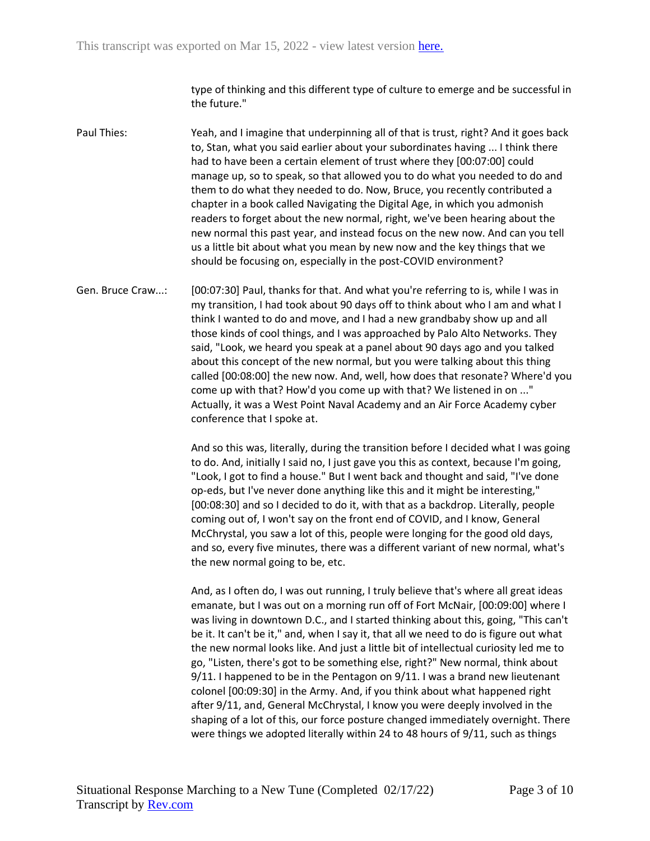type of thinking and this different type of culture to emerge and be successful in the future."

Paul Thies: Yeah, and I imagine that underpinning all of that is trust, right? And it goes back to, Stan, what you said earlier about your subordinates having ... I think there had to have been a certain element of trust where they [00:07:00] could manage up, so to speak, so that allowed you to do what you needed to do and them to do what they needed to do. Now, Bruce, you recently contributed a chapter in a book called Navigating the Digital Age, in which you admonish readers to forget about the new normal, right, we've been hearing about the new normal this past year, and instead focus on the new now. And can you tell us a little bit about what you mean by new now and the key things that we should be focusing on, especially in the post-COVID environment?

Gen. Bruce Craw...: [00:07:30] Paul, thanks for that. And what you're referring to is, while I was in my transition, I had took about 90 days off to think about who I am and what I think I wanted to do and move, and I had a new grandbaby show up and all those kinds of cool things, and I was approached by Palo Alto Networks. They said, "Look, we heard you speak at a panel about 90 days ago and you talked about this concept of the new normal, but you were talking about this thing called [00:08:00] the new now. And, well, how does that resonate? Where'd you come up with that? How'd you come up with that? We listened in on ..." Actually, it was a West Point Naval Academy and an Air Force Academy cyber conference that I spoke at.

> And so this was, literally, during the transition before I decided what I was going to do. And, initially I said no, I just gave you this as context, because I'm going, "Look, I got to find a house." But I went back and thought and said, "I've done op-eds, but I've never done anything like this and it might be interesting," [00:08:30] and so I decided to do it, with that as a backdrop. Literally, people coming out of, I won't say on the front end of COVID, and I know, General McChrystal, you saw a lot of this, people were longing for the good old days, and so, every five minutes, there was a different variant of new normal, what's the new normal going to be, etc.

> And, as I often do, I was out running, I truly believe that's where all great ideas emanate, but I was out on a morning run off of Fort McNair, [00:09:00] where I was living in downtown D.C., and I started thinking about this, going, "This can't be it. It can't be it," and, when I say it, that all we need to do is figure out what the new normal looks like. And just a little bit of intellectual curiosity led me to go, "Listen, there's got to be something else, right?" New normal, think about 9/11. I happened to be in the Pentagon on 9/11. I was a brand new lieutenant colonel [00:09:30] in the Army. And, if you think about what happened right after 9/11, and, General McChrystal, I know you were deeply involved in the shaping of a lot of this, our force posture changed immediately overnight. There were things we adopted literally within 24 to 48 hours of 9/11, such as things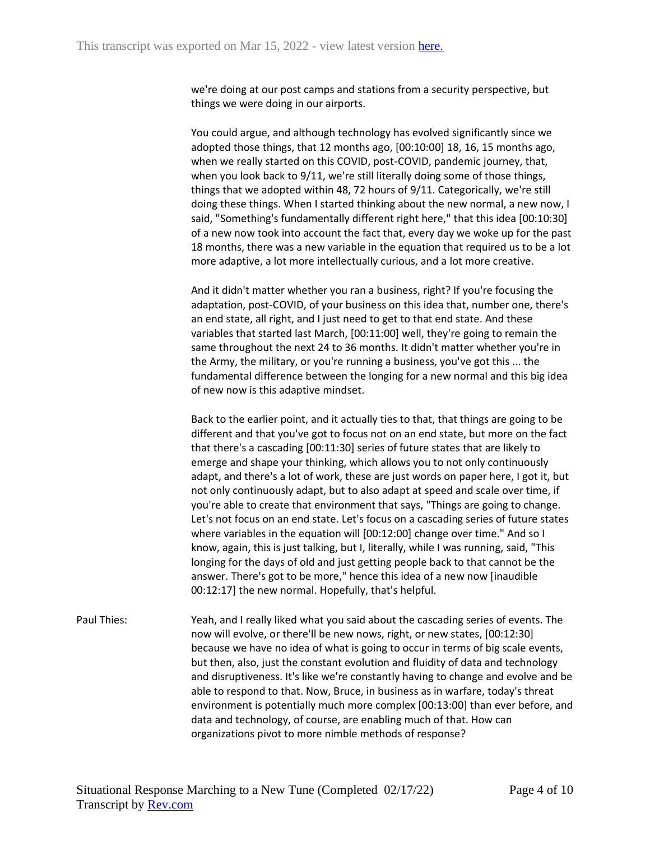we're doing at our post camps and stations from a security perspective, but things we were doing in our airports.

You could argue, and although technology has evolved significantly since we adopted those things, that 12 months ago, [00:10:00] 18, 16, 15 months ago, when we really started on this COVID, post-COVID, pandemic journey, that, when you look back to 9/11, we're still literally doing some of those things, things that we adopted within 48, 72 hours of 9/11. Categorically, we're still doing these things. When I started thinking about the new normal, a new now, I said, "Something's fundamentally different right here," that this idea [00:10:30] of a new now took into account the fact that, every day we woke up for the past 18 months, there was a new variable in the equation that required us to be a lot more adaptive, a lot more intellectually curious, and a lot more creative.

And it didn't matter whether you ran a business, right? If you're focusing the adaptation, post-COVID, of your business on this idea that, number one, there's an end state, all right, and I just need to get to that end state. And these variables that started last March, [00:11:00] well, they're going to remain the same throughout the next 24 to 36 months. It didn't matter whether you're in the Army, the military, or you're running a business, you've got this ... the fundamental difference between the longing for a new normal and this big idea of new now is this adaptive mindset.

Back to the earlier point, and it actually ties to that, that things are going to be different and that you've got to focus not on an end state, but more on the fact that there's a cascading [00:11:30] series of future states that are likely to emerge and shape your thinking, which allows you to not only continuously adapt, and there's a lot of work, these are just words on paper here, I got it, but not only continuously adapt, but to also adapt at speed and scale over time, if you're able to create that environment that says, "Things are going to change. Let's not focus on an end state. Let's focus on a cascading series of future states where variables in the equation will [00:12:00] change over time." And so I know, again, this is just talking, but I, literally, while I was running, said, "This longing for the days of old and just getting people back to that cannot be the answer. There's got to be more," hence this idea of a new now [inaudible 00:12:17] the new normal. Hopefully, that's helpful.

Paul Thies: Yeah, and I really liked what you said about the cascading series of events. The now will evolve, or there'll be new nows, right, or new states, [00:12:30] because we have no idea of what is going to occur in terms of big scale events, but then, also, just the constant evolution and fluidity of data and technology and disruptiveness. It's like we're constantly having to change and evolve and be able to respond to that. Now, Bruce, in business as in warfare, today's threat environment is potentially much more complex [00:13:00] than ever before, and data and technology, of course, are enabling much of that. How can organizations pivot to more nimble methods of response?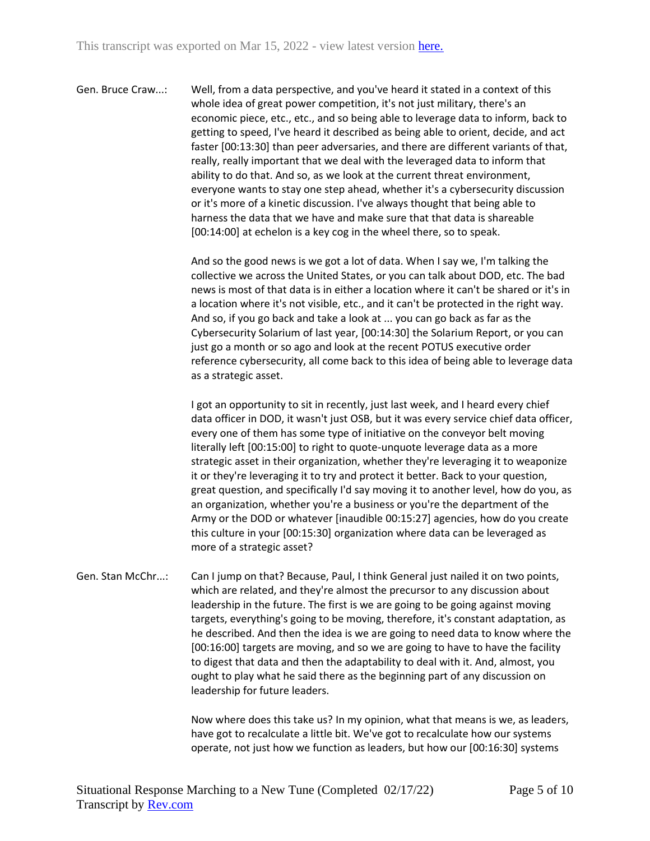Gen. Bruce Craw...: Well, from a data perspective, and you've heard it stated in a context of this whole idea of great power competition, it's not just military, there's an economic piece, etc., etc., and so being able to leverage data to inform, back to getting to speed, I've heard it described as being able to orient, decide, and act faster [00:13:30] than peer adversaries, and there are different variants of that, really, really important that we deal with the leveraged data to inform that ability to do that. And so, as we look at the current threat environment, everyone wants to stay one step ahead, whether it's a cybersecurity discussion or it's more of a kinetic discussion. I've always thought that being able to harness the data that we have and make sure that that data is shareable [00:14:00] at echelon is a key cog in the wheel there, so to speak.

> And so the good news is we got a lot of data. When I say we, I'm talking the collective we across the United States, or you can talk about DOD, etc. The bad news is most of that data is in either a location where it can't be shared or it's in a location where it's not visible, etc., and it can't be protected in the right way. And so, if you go back and take a look at ... you can go back as far as the Cybersecurity Solarium of last year, [00:14:30] the Solarium Report, or you can just go a month or so ago and look at the recent POTUS executive order reference cybersecurity, all come back to this idea of being able to leverage data as a strategic asset.

> I got an opportunity to sit in recently, just last week, and I heard every chief data officer in DOD, it wasn't just OSB, but it was every service chief data officer, every one of them has some type of initiative on the conveyor belt moving literally left [00:15:00] to right to quote-unquote leverage data as a more strategic asset in their organization, whether they're leveraging it to weaponize it or they're leveraging it to try and protect it better. Back to your question, great question, and specifically I'd say moving it to another level, how do you, as an organization, whether you're a business or you're the department of the Army or the DOD or whatever [inaudible 00:15:27] agencies, how do you create this culture in your [00:15:30] organization where data can be leveraged as more of a strategic asset?

Gen. Stan McChr...: Can I jump on that? Because, Paul, I think General just nailed it on two points, which are related, and they're almost the precursor to any discussion about leadership in the future. The first is we are going to be going against moving targets, everything's going to be moving, therefore, it's constant adaptation, as he described. And then the idea is we are going to need data to know where the [00:16:00] targets are moving, and so we are going to have to have the facility to digest that data and then the adaptability to deal with it. And, almost, you ought to play what he said there as the beginning part of any discussion on leadership for future leaders.

> Now where does this take us? In my opinion, what that means is we, as leaders, have got to recalculate a little bit. We've got to recalculate how our systems operate, not just how we function as leaders, but how our [00:16:30] systems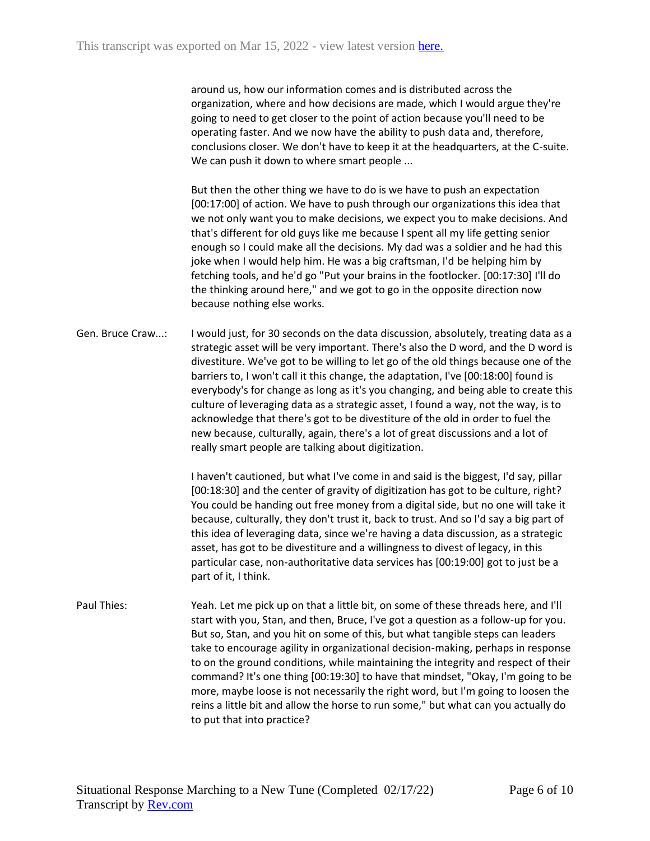around us, how our information comes and is distributed across the organization, where and how decisions are made, which I would argue they're going to need to get closer to the point of action because you'll need to be operating faster. And we now have the ability to push data and, therefore, conclusions closer. We don't have to keep it at the headquarters, at the C-suite. We can push it down to where smart people ...

But then the other thing we have to do is we have to push an expectation [00:17:00] of action. We have to push through our organizations this idea that we not only want you to make decisions, we expect you to make decisions. And that's different for old guys like me because I spent all my life getting senior enough so I could make all the decisions. My dad was a soldier and he had this joke when I would help him. He was a big craftsman, I'd be helping him by fetching tools, and he'd go "Put your brains in the footlocker. [00:17:30] I'll do the thinking around here," and we got to go in the opposite direction now because nothing else works.

Gen. Bruce Craw...: I would just, for 30 seconds on the data discussion, absolutely, treating data as a strategic asset will be very important. There's also the D word, and the D word is divestiture. We've got to be willing to let go of the old things because one of the barriers to, I won't call it this change, the adaptation, I've [00:18:00] found is everybody's for change as long as it's you changing, and being able to create this culture of leveraging data as a strategic asset, I found a way, not the way, is to acknowledge that there's got to be divestiture of the old in order to fuel the new because, culturally, again, there's a lot of great discussions and a lot of really smart people are talking about digitization.

> I haven't cautioned, but what I've come in and said is the biggest, I'd say, pillar [00:18:30] and the center of gravity of digitization has got to be culture, right? You could be handing out free money from a digital side, but no one will take it because, culturally, they don't trust it, back to trust. And so I'd say a big part of this idea of leveraging data, since we're having a data discussion, as a strategic asset, has got to be divestiture and a willingness to divest of legacy, in this particular case, non-authoritative data services has [00:19:00] got to just be a part of it, I think.

Paul Thies: Yeah. Let me pick up on that a little bit, on some of these threads here, and I'll start with you, Stan, and then, Bruce, I've got a question as a follow-up for you. But so, Stan, and you hit on some of this, but what tangible steps can leaders take to encourage agility in organizational decision-making, perhaps in response to on the ground conditions, while maintaining the integrity and respect of their command? It's one thing [00:19:30] to have that mindset, "Okay, I'm going to be more, maybe loose is not necessarily the right word, but I'm going to loosen the reins a little bit and allow the horse to run some," but what can you actually do to put that into practice?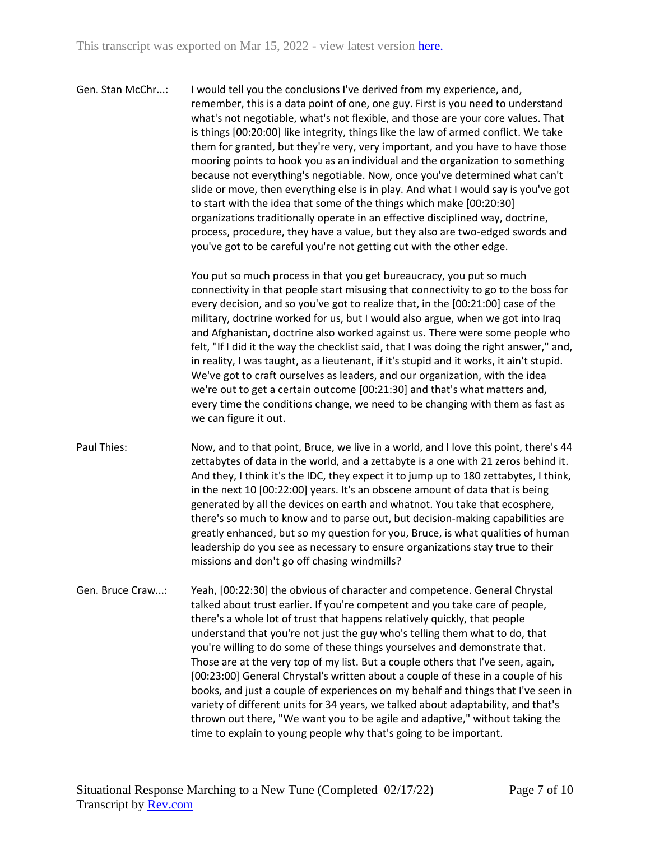Gen. Stan McChr...: I would tell you the conclusions I've derived from my experience, and, remember, this is a data point of one, one guy. First is you need to understand what's not negotiable, what's not flexible, and those are your core values. That is things [00:20:00] like integrity, things like the law of armed conflict. We take them for granted, but they're very, very important, and you have to have those mooring points to hook you as an individual and the organization to something because not everything's negotiable. Now, once you've determined what can't slide or move, then everything else is in play. And what I would say is you've got to start with the idea that some of the things which make [00:20:30] organizations traditionally operate in an effective disciplined way, doctrine, process, procedure, they have a value, but they also are two-edged swords and you've got to be careful you're not getting cut with the other edge.

> You put so much process in that you get bureaucracy, you put so much connectivity in that people start misusing that connectivity to go to the boss for every decision, and so you've got to realize that, in the [00:21:00] case of the military, doctrine worked for us, but I would also argue, when we got into Iraq and Afghanistan, doctrine also worked against us. There were some people who felt, "If I did it the way the checklist said, that I was doing the right answer," and, in reality, I was taught, as a lieutenant, if it's stupid and it works, it ain't stupid. We've got to craft ourselves as leaders, and our organization, with the idea we're out to get a certain outcome [00:21:30] and that's what matters and, every time the conditions change, we need to be changing with them as fast as we can figure it out.

Paul Thies: Now, and to that point, Bruce, we live in a world, and I love this point, there's 44 zettabytes of data in the world, and a zettabyte is a one with 21 zeros behind it. And they, I think it's the IDC, they expect it to jump up to 180 zettabytes, I think, in the next 10 [00:22:00] years. It's an obscene amount of data that is being generated by all the devices on earth and whatnot. You take that ecosphere, there's so much to know and to parse out, but decision-making capabilities are greatly enhanced, but so my question for you, Bruce, is what qualities of human leadership do you see as necessary to ensure organizations stay true to their missions and don't go off chasing windmills?

Gen. Bruce Craw...: Yeah, [00:22:30] the obvious of character and competence. General Chrystal talked about trust earlier. If you're competent and you take care of people, there's a whole lot of trust that happens relatively quickly, that people understand that you're not just the guy who's telling them what to do, that you're willing to do some of these things yourselves and demonstrate that. Those are at the very top of my list. But a couple others that I've seen, again, [00:23:00] General Chrystal's written about a couple of these in a couple of his books, and just a couple of experiences on my behalf and things that I've seen in variety of different units for 34 years, we talked about adaptability, and that's thrown out there, "We want you to be agile and adaptive," without taking the time to explain to young people why that's going to be important.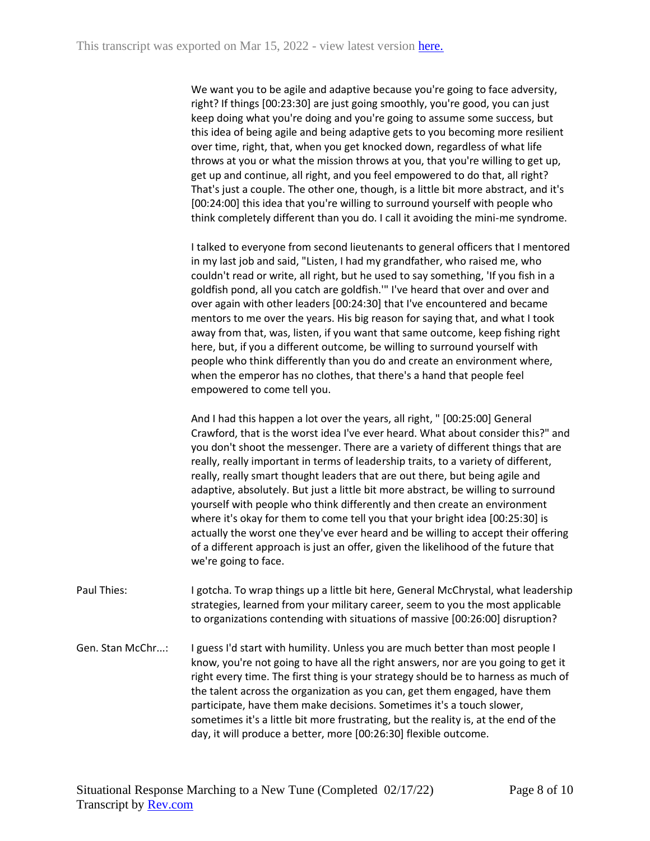We want you to be agile and adaptive because you're going to face adversity, right? If things [00:23:30] are just going smoothly, you're good, you can just keep doing what you're doing and you're going to assume some success, but this idea of being agile and being adaptive gets to you becoming more resilient over time, right, that, when you get knocked down, regardless of what life throws at you or what the mission throws at you, that you're willing to get up, get up and continue, all right, and you feel empowered to do that, all right? That's just a couple. The other one, though, is a little bit more abstract, and it's [00:24:00] this idea that you're willing to surround yourself with people who think completely different than you do. I call it avoiding the mini-me syndrome.

I talked to everyone from second lieutenants to general officers that I mentored in my last job and said, "Listen, I had my grandfather, who raised me, who couldn't read or write, all right, but he used to say something, 'If you fish in a goldfish pond, all you catch are goldfish.'" I've heard that over and over and over again with other leaders [00:24:30] that I've encountered and became mentors to me over the years. His big reason for saying that, and what I took away from that, was, listen, if you want that same outcome, keep fishing right here, but, if you a different outcome, be willing to surround yourself with people who think differently than you do and create an environment where, when the emperor has no clothes, that there's a hand that people feel empowered to come tell you.

And I had this happen a lot over the years, all right, " [00:25:00] General Crawford, that is the worst idea I've ever heard. What about consider this?" and you don't shoot the messenger. There are a variety of different things that are really, really important in terms of leadership traits, to a variety of different, really, really smart thought leaders that are out there, but being agile and adaptive, absolutely. But just a little bit more abstract, be willing to surround yourself with people who think differently and then create an environment where it's okay for them to come tell you that your bright idea [00:25:30] is actually the worst one they've ever heard and be willing to accept their offering of a different approach is just an offer, given the likelihood of the future that we're going to face.

- Paul Thies: I gotcha. To wrap things up a little bit here, General McChrystal, what leadership strategies, learned from your military career, seem to you the most applicable to organizations contending with situations of massive [00:26:00] disruption?
- Gen. Stan McChr...: I guess I'd start with humility. Unless you are much better than most people I know, you're not going to have all the right answers, nor are you going to get it right every time. The first thing is your strategy should be to harness as much of the talent across the organization as you can, get them engaged, have them participate, have them make decisions. Sometimes it's a touch slower, sometimes it's a little bit more frustrating, but the reality is, at the end of the day, it will produce a better, more [00:26:30] flexible outcome.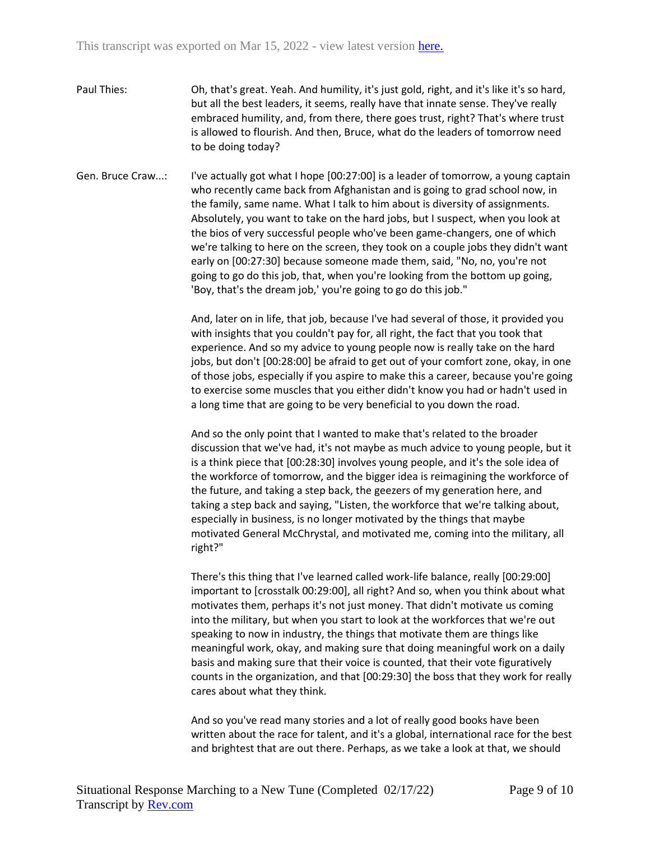- Paul Thies: Oh, that's great. Yeah. And humility, it's just gold, right, and it's like it's so hard, but all the best leaders, it seems, really have that innate sense. They've really embraced humility, and, from there, there goes trust, right? That's where trust is allowed to flourish. And then, Bruce, what do the leaders of tomorrow need to be doing today?
- Gen. Bruce Craw...: I've actually got what I hope [00:27:00] is a leader of tomorrow, a young captain who recently came back from Afghanistan and is going to grad school now, in the family, same name. What I talk to him about is diversity of assignments. Absolutely, you want to take on the hard jobs, but I suspect, when you look at the bios of very successful people who've been game-changers, one of which we're talking to here on the screen, they took on a couple jobs they didn't want early on [00:27:30] because someone made them, said, "No, no, you're not going to go do this job, that, when you're looking from the bottom up going, 'Boy, that's the dream job,' you're going to go do this job."

And, later on in life, that job, because I've had several of those, it provided you with insights that you couldn't pay for, all right, the fact that you took that experience. And so my advice to young people now is really take on the hard jobs, but don't [00:28:00] be afraid to get out of your comfort zone, okay, in one of those jobs, especially if you aspire to make this a career, because you're going to exercise some muscles that you either didn't know you had or hadn't used in a long time that are going to be very beneficial to you down the road.

And so the only point that I wanted to make that's related to the broader discussion that we've had, it's not maybe as much advice to young people, but it is a think piece that [00:28:30] involves young people, and it's the sole idea of the workforce of tomorrow, and the bigger idea is reimagining the workforce of the future, and taking a step back, the geezers of my generation here, and taking a step back and saying, "Listen, the workforce that we're talking about, especially in business, is no longer motivated by the things that maybe motivated General McChrystal, and motivated me, coming into the military, all right?"

There's this thing that I've learned called work-life balance, really [00:29:00] important to [crosstalk 00:29:00], all right? And so, when you think about what motivates them, perhaps it's not just money. That didn't motivate us coming into the military, but when you start to look at the workforces that we're out speaking to now in industry, the things that motivate them are things like meaningful work, okay, and making sure that doing meaningful work on a daily basis and making sure that their voice is counted, that their vote figuratively counts in the organization, and that [00:29:30] the boss that they work for really cares about what they think.

And so you've read many stories and a lot of really good books have been written about the race for talent, and it's a global, international race for the best and brightest that are out there. Perhaps, as we take a look at that, we should